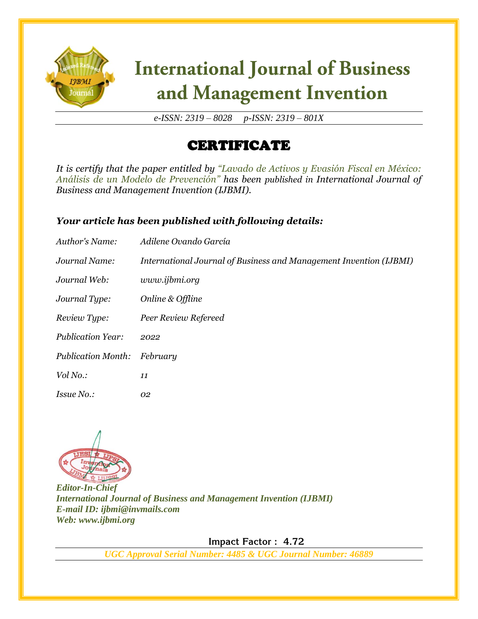

# **International Journal of Business** and Management Invention

*e-ISSN: 2319 – 8028 p-ISSN: 2319 – 801X*

### CERTIFICATE

*It is certify that the paper entitled by "Lavado de Activos y Evasión Fiscal en México: Análisis de un Modelo de Prevención" has been published in International Journal of Business and Management Invention (IJBMI).*

#### *Your article has been published with following details:*

| Author's Name:            | Adilene Ovando García                                              |
|---------------------------|--------------------------------------------------------------------|
| Journal Name:             | International Journal of Business and Management Invention (IJBMI) |
| Journal Web:              | www.ijbmi.org                                                      |
| Journal Type:             | Online & Offline                                                   |
| Review Type:              | Peer Review Refereed                                               |
| <b>Publication Year:</b>  | 2022                                                               |
| <b>Publication Month:</b> | February                                                           |
| Vol No.:                  | 11                                                                 |
| <i>Issue No.:</i>         | 02                                                                 |



*Editor-In-Chief International Journal of Business and Management Invention (IJBMI) E-mail ID: ijbmi@invmails.com Web: www.ijbmi.org*

 **Impact Factor : 4.72** 

*UGC Approval Serial Number: 4485 & UGC Journal Number: 46889*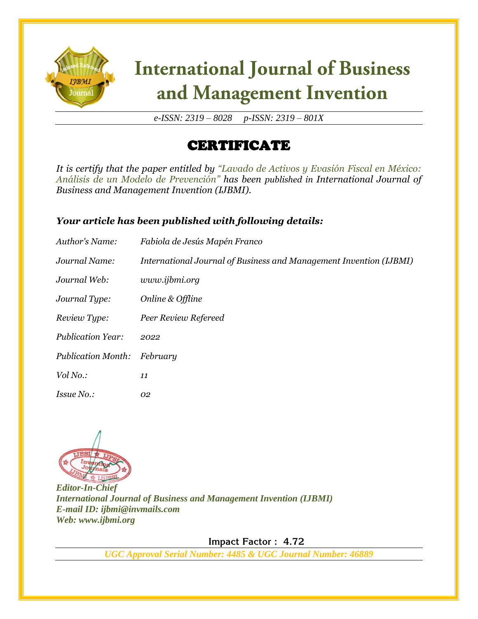

# **International Journal of Business** and Management Invention

*e-ISSN: 2319 – 8028 p-ISSN: 2319 – 801X*

### CERTIFICATE

*It is certify that the paper entitled by "Lavado de Activos y Evasión Fiscal en México: Análisis de un Modelo de Prevención" has been published in International Journal of Business and Management Invention (IJBMI).*

#### *Your article has been published with following details:*

| Author's Name:            | Fabiola de Jesús Mapén Franco                                      |
|---------------------------|--------------------------------------------------------------------|
| Journal Name:             | International Journal of Business and Management Invention (IJBMI) |
| Journal Web:              | www.ijbmi.org                                                      |
| Journal Type:             | Online & Offline                                                   |
| Review Type:              | Peer Review Refereed                                               |
| <b>Publication Year:</b>  | 2022                                                               |
| <b>Publication Month:</b> | February                                                           |
| Vol No.:                  | 11                                                                 |
| <i>Issue No.:</i>         | 02                                                                 |



*Editor-In-Chief International Journal of Business and Management Invention (IJBMI) E-mail ID: ijbmi@invmails.com Web: www.ijbmi.org*

 **Impact Factor : 4.72** 

*UGC Approval Serial Number: 4485 & UGC Journal Number: 46889*